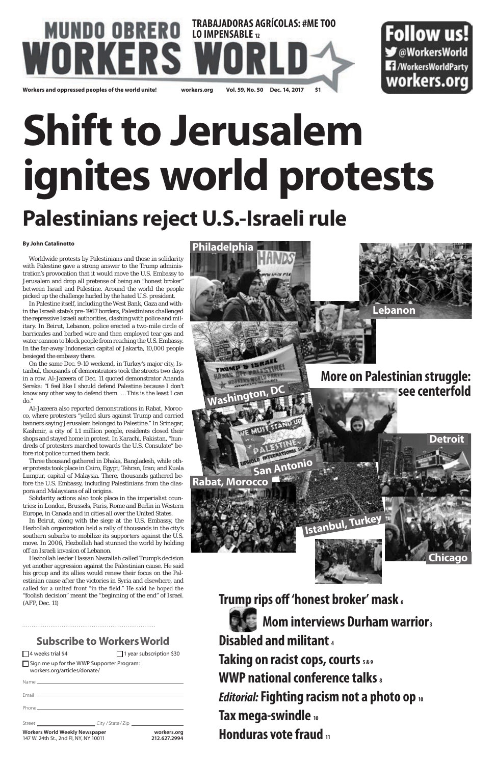### **TRABAJADORAS AGRÍCOLAS: #ME TOO MUNDO OBRERO WUNUU UBKEKU LOIMPENSABLE 12 Workers and oppressed peoples of the world unite! workers.org Vol. 59, No. 50 Dec. 14, 2017 \$1**



# **Shift to Jerusalem ignites world protests Palestinians reject U.S.-Israeli rule**

#### **By John Catalinotto**

Worldwide protests by Palestinians and those in solidarity with Palestine gave a strong answer to the Trump administration's provocation that it would move the U.S. Embassy to Jerusalem and drop all pretense of being an "honest broker" between Israel and Palestine. Around the world the people picked up the challenge hurled by the hated U.S. president.

In Palestine itself, including the West Bank, Gaza and within the Israeli state's pre-1967 borders, Palestinians challenged the repressive Israeli authorities, clashing with police and military. In Beirut, Lebanon, police erected a two-mile circle of barricades and barbed wire and then employed tear gas and water cannon to block people from reaching the U.S. Embassy. In the far-away Indonesian capital of Jakarta, 10,000 people besieged the embassy there.

On the same Dec. 9-10 weekend, in Turkey's major city, Istanbul, thousands of demonstrators took the streets two days in a row. Al-Jazeera of Dec. 11 quoted demonstrator Ananda Sereka: "I feel like I should defend Palestine because I don't know any other way to defend them. … This is the least I can do."

Al-Jazeera also reported demonstrations in Rabat, Morocco, where protesters "yelled slurs against Trump and carried banners saying Jerusalem belonged to Palestine." In Srinagar, Kashmir, a city of 1.1 million people, residents closed their shops and stayed home in protest. In Karachi, Pakistan, "hundreds of protesters marched towards the U.S. Consulate" before riot police turned them back.

Three thousand gathered in Dhaka, Bangladesh, while other protests took place in Cairo, Egypt; Tehran, Iran; and Kuala Lumpur, capital of Malaysia. There, thousands gathered before the U.S. Embassy, including Palestinians from the diaspora and Malaysians of all origins.

Solidarity actions also took place in the imperialist countries: in London, Brussels, Paris, Rome and Berlin in Western Europe, in Canada and in cities all over the United States.

In Beirut, along with the siege at the U.S. Embassy, the Hezbollah organization held a rally of thousands in the city's southern suburbs to mobilize its supporters against the U.S. move. In 2006, Hezbollah had stunned the world by holding off an Israeli invasion of Lebanon.

Hezbollah leader Hassan Nasrallah called Trump's decision

yet another aggression against the Palestinian cause. He said his group and its allies would renew their focus on the Palestinian cause after the victories in Syria and elsewhere, and called for a united front "in the field." He said he hoped the "foolish decision" meant the "beginning of the end" of Israel. (AFP, Dec. 11)

### **Subscribe to Workers World**

□ 4 weeks trial \$4 1 year subscription \$30

Sign me up for the WWP Supporter Program: workers.org/articles/donate/

Name

Email

Phone

| Street | City / State / Zip |
|--------|--------------------|
|        |                    |

| ≀/State/Zip |  |
|-------------|--|
|-------------|--|

**Workers World Weekly Newspaper workers.org** 147 W. 24th St., 2nd Fl, NY, NY 10011 **212.627.2994**



**Trump rips off 'honest broker' mask 6 Mom interviews Durham warrior** 3 **Disabled and militant 4 Taking on racist cops, courts 5 & 9 WWP national conference talks**  $\frac{1}{8}$ *Editorial:* **Fighting racism not a photo op 10 Tax mega-swindle 10 Honduras vote fraud 11**

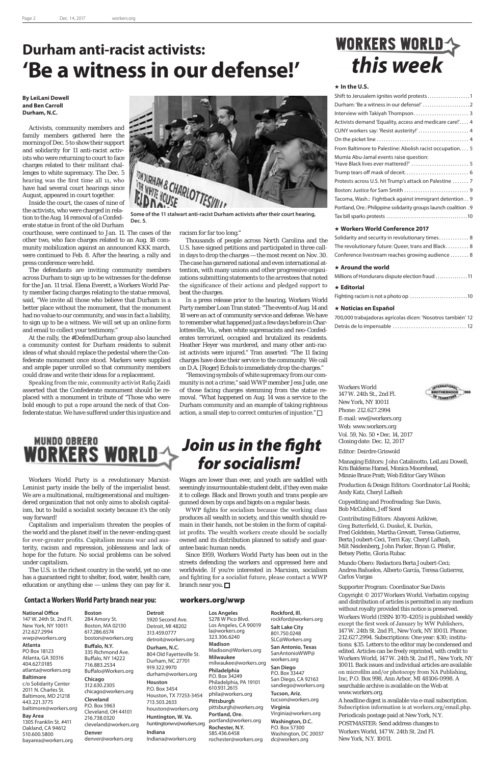Workers World 147 W. 24th St., 2nd Fl. New York, NY 10011 Phone: 212.627.2994 E-mail: ww@workers.org Web: www.workers.org Vol. 59, No. 50 • Dec. 14, 2017 Closing date: Dec. 12, 2017

Editor: Deirdre Griswold

Managing Editors: John Catalinotto, LeiLani Dowell, Kris Balderas Hamel, Monica Moorehead, Minnie Bruce Pratt; Web Editor Gary Wilson

Production & Design Editors: Coordinator Lal Roohk; Andy Katz, Cheryl LaBash

Copyediting and Proofreading: Sue Davis, Bob McCubbin, Jeff Sorel

Contributing Editors: Abayomi Azikiwe, Greg Butterfield, G. Dunkel, K. Durkin, Fred Goldstein, Martha Grevatt, Teresa Gutierrez, Berta Joubert-Ceci, Terri Kay, Cheryl LaBash, Milt Neidenberg, John Parker, Bryan G. Pfeifer, Betsey Piette, Gloria Rubac



Mundo Obero: Redactora Berta Joubert-Ceci; Andrea Bañuelos, Alberto García, Teresa Gutierrez, Carlos Vargas

#### Supporter Program: Coordinator Sue Davis

Copyright © 2017 Workers World. Verbatim copying and distribution of articles is permitted in any medium without royalty provided this notice is preserved. Workers World (ISSN-1070-4205) is published weekly except the first week of January by WW Publishers, 147 W. 24th St. 2nd Fl., New York, NY 10011. Phone: 212.627.2994. Subscriptions: One year: \$30; institutions: \$35. Letters to the editor may be condensed and edited. Articles can be freely reprinted, with credit to Workers World, 147 W. 24th St. 2nd Fl., New York, NY 10011. Back issues and individual articles are available on microfilm and/or photocopy from NA Publishing, Inc, P.O. Box 998, Ann Arbor, MI 48106-0998. A searchable archive is available on the Web at www.workers.org.

A headline digest is available via e-mail subscription. Subscription information is at workers.org/email.php. Periodicals postage paid at New York, N.Y. POSTMASTER: Send address changes to Workers World, 147 W. 24th St. 2nd Fl.

New York, N.Y. 10011.

#### **Contact a Workers World Party branch near you:** workers.org/wwp

#### **National Office**

147 W. 24th St. 2nd Fl. New York, NY 10011 212.627.2994 wwp@workers.org

#### **Atlanta**

PO Box 18123 Atlanta, GA 30316 404.627.0185 atlanta@workers.org

#### **Baltimore**

c/o Solidarity Center 2011 N. Charles St. Baltimore, MD 21218 443.221.3775 baltimore@workers.org

#### **Bay Area**

1305 Franklin St. #411 Oakland, CA 94612 510.600.5800 bayarea@workers.org **Boston** 284 Amory St. Boston, MA 02130 617.286.6574 boston@workers.org **Buffalo, N.Y.**

#### 335 Richmond Ave. Buffalo, NY 14222 716.883.2534 Buffalo@Workers.org

streets defending the workers and oppressed here and worldwide. If you're interested in Marxism, socialism and fighting for a socialist future, please contact a WWP branch near you.  $\square$ 

#### **Chicago** 312.630.2305 chicago@workers.org **Cleveland** P.O. Box 5963 Cleveland, OH 44101 216.738.0320 cleveland@workers.org **Denver**

denver@workers.org

**Detroit** 5920 Second Ave. Detroit, MI 48202 313.459.0777 detroit@workers.org **Durham, N.C.** 804 Old Fayetteville St. Durham, NC 27701 919.322.9970 durham@workers.org **Houston** P.O. Box 3454 Houston, TX 77253-3454 713.503.2633 houston@workers.org **Huntington, W. Va.** huntingtonwv@workers.org **Indiana** Indiana@workers.org **Los Angeles** 323.306.6240 **Madison Milwaukee Philadelphia** 610.931.2615 **Pittsburgh** 585.436.6458

| Activists demand 'Equality, access and medicare care!' 4                       |
|--------------------------------------------------------------------------------|
| CUNY workers say: 'Resist austerity!'  4                                       |
|                                                                                |
| From Baltimore to Palestine: Abolish racist occupation 5                       |
| Mumia Abu-Jamal events raise question:<br>'Have Black lives ever mattered?'  5 |
|                                                                                |
| Protests across U.S. hit Trump's attack on Palestine  7                        |
|                                                                                |
| Tacoma, Wash.: Fightback against immigrant detention 9                         |
| Portland, Ore.: Philippine solidarity groups launch coalition . 9              |
|                                                                                |
|                                                                                |

5278 W Pico Blvd. Los Angeles, CA 90019 la@workers.org Madison@Workers.org milwaukee@workers.org P.O. Box 34249 Philadelphia, PA 19101 phila@workers.org pittsburgh@workers.org **Portland, Ore.** portland@workers.org **Rochester, N.Y.** rochester@workers.org dc@workers.org

**Rockford, Ill.** rockford@workers.org **Salt Lake City** 801.750.0248 SLC@Workers.org **San Antonio, Texas** SanAntonioWWP@ workers.org **San Diego** P.O. Box 33447 San Diego, CA 92163 sandiego@workers.org **Tucson, Ariz.** tucson@workers.org **Virginia**  Virginia@workers.org **Washington, D.C.** P.O. Box 57300 Washington, DC 20037

### *Join us in the fight for socialism!*

Workers World Party is a revolutionary Marxist-Leninist party inside the belly of the imperialist beast. We are a multinational, multigenerational and multigendered organization that not only aims to abolish capitalism, but to build a socialist society because it's the only way forward!

Capitalism and imperialism threaten the peoples of the world and the planet itself in the never-ending quest for ever-greater profits. Capitalism means war and austerity, racism and repression, joblessness and lack of hope for the future. No social problems can be solved

under capitalism.

The U.S. is the richest country in the world, yet no one has a guaranteed right to shelter, food, water, health care, education or anything else — unless they can pay for it. Wages are lower than ever, and youth are saddled with seemingly insurmountable student debt, if they even make it to college. Black and Brown youth and trans people are gunned down by cops and bigots on a regular basis.

WWP fights for socialism because the working class produces all wealth in society, and this wealth should remain in their hands, not be stolen in the form of capitalist profits. The wealth workers create should be socially owned and its distribution planned to satisfy and guarantee basic human needs.

Since 1959, Workers World Party has been out in the

### **WORKERS WORLD->** this week

"Removing symbols of white supremacy from our community is not a crime," said WWP member Jess Jude, one of those facing charges stemming from the statue removal. "What happened on Aug. 14 was a service to the Durham community and an example of taking righteous action, a small step to correct centuries of injustice."  $\Box$ 

#### **In the U.S.**

#### **Workers World Conference 2017**

| Solidarity and security in revolutionary times 8   |  |
|----------------------------------------------------|--|
| The revolutionary future: Queer, trans and Black 8 |  |
| Conference livestream reaches growing audience  8  |  |

#### **Around the world**

| Millions of Hondurans dispute election fraud 11 |  |  |
|-------------------------------------------------|--|--|
|-------------------------------------------------|--|--|

#### **Editorial**

|--|--|

#### **Noticias en Español**

| 700,000 trabajadoras agrícolas dicen: 'Nosotros también' 12 |  |
|-------------------------------------------------------------|--|
|                                                             |  |

**By LeiLani Dowell and Ben Carroll Durham, N.C.**

Activists, community members and family members gathered here the morning of Dec. 5 to show their support and solidarity for 11 anti-racist activists who were returning to court to face charges related to their militant challenges to white supremacy. The Dec. 5 hearing was the first time all 11, who have had several court hearings since August, appeared in court together.

Inside the court, the cases of nine of the activists, who were charged in relation to the Aug. 14 removal of a Confederate statue in front of the old Durham

courthouse, were continued to Jan. 11. The cases of the other two, who face charges related to an Aug. 18 community mobilization against an announced KKK march, were continued to Feb. 8. After the hearing, a rally and press conference were held.

The defendants are inviting community members across Durham to sign up to be witnesses for the defense for the Jan. 11 trial. Elena Everett, a Workers World Party member facing charges relating to the statue removal, said, "We invite all those who believe that Durham is a better place without the monument, that the monument had no value to our community, and was in fact a liability, to sign up to be a witness. We will set up an online form and email to collect your testimony."

At the rally, the #DefendDurham group also launched a community contest for Durham residents to submit ideas of what should replace the pedestal where the Confederate monument once stood. Markers were supplied and ample paper unrolled so that community members could draw and write their ideas for a replacement.

Speaking from the mic, community activist Rafiq Zaidi asserted that the Confederate monument should be replaced with a monument in tribute of "Those who were bold enough to put a rope around the neck of that Confederate statue. We have suffered under this injustice and



### **Durham anti-racist activists: 'Be a witness in our defense!'**



**Dec. 5.**

racism for far too long."

Thousands of people across North Carolina and the U.S. have signed petitions and participated in three callin days to drop the charges — the most recent on Nov. 30. The case has garnered national and even international attention, with many unions and other progressive organizations submitting statements to the arrestees that noted the significance of their actions and pledged support to beat the charges.

In a press release prior to the hearing, Workers World Party member Loan Tran stated: "The events of Aug. 14 and 18 were an act of community service and defense. We have to remember what happened just a few days before in Charlottesville, Va., when white supremacists and neo-Confederates terrorized, occupied and brutalized its residents. Heather Heyer was murdered, and many other anti-racist activists were injured." Tran asserted: "The 11 facing charges have done their service to the community. We call on D.A. [Roger] Echols to immediately drop the charges."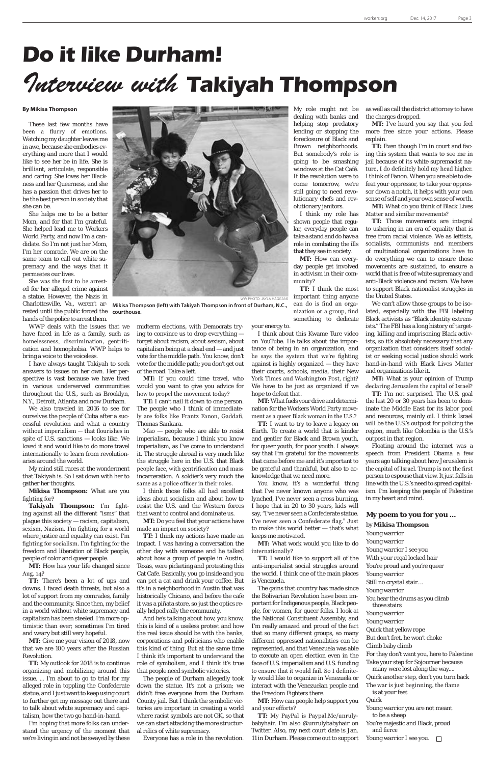#### **By Mikisa Thompson**

These last few months have been a flurry of emotions. Watching my daughter leaves me in awe, because she embodies everything and more that I would like to see her be in life. She is brilliant, articulate, responsible and caring. She loves her Blackness and her Queerness, and she has a passion that drives her to be the best person in society that she can be.

She helps me to be a better Mom, and for that I'm grateful. She helped lead me to Workers World Party, and now I'm a candidate. So I'm not just her Mom, I'm her comrade. We are on the same team to call out white supremacy and the ways that it permeates our lives.

She was the first to be arrested for her alleged crime against a statue. However, the Nazis in rested until the public forced the **courthouse.** hands of the police to arrest them.

WWP deals with the issues that we have faced in life as a family, such as homelessness, discrimination, gentrification and homophobia. WWP helps to bring a voice to the voiceless.

I have always taught Takiyah to seek answers to issues on her own. Her perspective is vast because we have lived in various underserved communities throughout the U.S., such as Brooklyn, N.Y., Detroit, Atlanta and now Durham.

We also traveled in 2016 to see for ourselves the people of Cuba after a successful revolution and what a country without imperialism — that flourishes in spite of U.S. sanctions — looks like. We loved it and would like to do more travel internationally to learn from revolutionaries around the world.

My mind still races at the wonderment that Takiyah is. So I sat down with her to gather her thoughts.

**Mikisa Thompson:** What are you fighting for?

**Takiyah Thompson:** I'm fighting against all the different "isms" that plague this society — racism, capitalism, sexism, Nazism. I'm fighting for a world where justice and equality can exist. I'm fighting for socialism. I'm fighting for the freedom and liberation of Black people, people of color and queer people.

**MT:** How has your life changed since Aug. 14?

**TT:** There's been a lot of ups and downs. I faced death threats, but also a lot of support from my comrades, family and the community. Since then, my belief in a world without white supremacy and capitalism has been steeled. I'm more optimistic than ever; sometimes I'm tired and weary but still very hopeful.

**MT:** Give me your vision of 2018, now that we are 100 years after the Russian Revolution.

**TT:** My outlook for 2018 is to continue organizing and mobilizing around this issue. ... I'm about to go to trial for my alleged role in toppling the Confederate statue, and I just want to keep using court to further get my message out there and to talk about white supremacy and capitalism, how the two go hand-in-hand.

I'm hoping that more folks can understand the urgency of the moment that we're living in and not be swayed by these

midterm elections, with Democrats trying to convince us to drop everything forget about racism, about sexism, about capitalism being at a dead end — and just vote for the middle path. You know, don't vote for the middle path; you don't get out of the road. Take a left.

**MT:** If you could time travel, who would you want to give you advice for how to propel the movement today?

> **TT:** I want to try to leave a legacy on Earth. To create a world that is kinder and gentler for Black and Brown youth, for queer youth, for poor youth. I always say that I'm grateful for the movements that came before me and it's important to be grateful and thankful, but also to acknowledge that we need more.

**TT:** I can't nail it down to one person. The people who I think of immediately are folks like Frantz Fanon, Gaddafi, Thomas Sankara.

Mao — people who are able to resist imperialism, because I think you know imperialism, as I've come to understand it. The struggle abroad is very much like the struggle here in the U.S. that Black people face, with gentrification and mass incarceration. A soldier's very much the same as a police officer in their roles.

I think those folks all had excellent ideas about socialism and about how to resist the U.S. and the Western forces that want to control and dominate us.

**MT:** Do you feel that your actions have made an impact on society?

**TT:** I think my actions have made an impact. I was having a conversation the other day with someone and he talked about how a group of people in Austin, Texas, were picketing and protesting this Cat Cafe. Basically, you go inside and you can pet a cat and drink your coffee. But it's in a neighborhood in Austin that was historically Chicano, and before the cafe it was a piñata store, so just the optics really helped rally the community.

And he's talking about how, you know, this is kind of a useless protest and how the real issue should be with the banks, corporations and politicians who enable this kind of thing. But at the same time I think it's important to understand the role of symbolism, and I think it's true that people need symbolic victories.

The people of Durham allegedly took down the statue. It's not a prison; we didn't free everyone from the Durham County jail. But I think the symbolic victories are important in creating a world where racist symbols are not OK, so that we can start attacking the more structural relics of white supremacy.

Everyone has a role in the revolution.

My role might not be dealing with banks and helping stop predatory lending or stopping the foreclosure of Black and Brown neighborhoods. But somebody's role is going to be smashing windows at the Cat Café. If the revolution were to come tomorrow, we're still going to need revolutionary chefs and revolutionary janitors.

I think my role has shown people that regular, everyday people can take a stand and do have a role in combating the ills that they see in society. **MT:** How can everyday people get involved in activism in their com-

munity?

**TT:** I think the most

can do is find an organization or a group, find

something to dedicate your energy to.

I think about this Kwame Ture video on YouTube. He talks about the importance of being in an organization, and he says the system that we're fighting against is highly organized — they have their courts, schools, media, their New York Times and Washington Post, right? We have to be just as organized if we hope to defeat that.

**MT:** What fuels your drive and determination for the Workers World Party movement as a queer Black woman in the U.S.?

You know, it's a wonderful thing that I've never known anyone who was lynched, I've never seen a cross burning. I hope that in 20 to 30 years, kids will say, "I've never seen a Confederate statue. I've never seen a Confederate flag." Just to make this world better — that's what keeps me motivated.

**MT:** What work would you like to do internationally? **TT:** I would like to support all of the

anti-imperialist social struggles around the world. I think one of the main places is Venezuela.

The gains that country has made since the Bolivarian Revolution have been important for Indigenous people, Black people, for women, for queer folks. I look at the National Constituent Assembly, and I'm really amazed and proud of the fact that so many different groups, so many different oppressed nationalities can be represented, and that Venezuela was able to execute an open election even in the face of U.S. imperialism and U.S. funding to ensure that it would fail. So I definitely would like to organize in Venezuela or interact with the Venezuelan people and the Freedom Fighters there.

**MT:** How can people help support you and your efforts?

**TT:** My PayPal is Paypal.Me/unrulybabyhair. I'm also @unrulybabyhair on Twitter. Also, my next court date is Jan. 11 in Durham. Please come out to support



Charlottesville, Va., weren't ar-**Mikisa Thompson (left) with Takiyah Thompson in front of Durham, N.C.,** 

as well as call the district attorney to have the charges dropped.

**MT:** I've heard you say that you feel more free since your actions. Please explain.

**TT:** Even though I'm in court and facing this system that wants to see me in jail because of its white supremacist nature, I do definitely hold my head higher. I think of Fanon. When you are able to defeat your oppressor, to take your oppressor down a notch, it helps with your own sense of self and your own sense of worth.

**MT:** What do you think of Black Lives Matter and similar movements?

**TT:** Those movements are integral to ushering in an era of equality that is free from racial violence. We as leftists, socialists, communists and members of multinational organizations have to do everything we can to ensure those movements are sustained, to ensure a world that is free of white supremacy and anti-Black violence and racism. We have to support Black nationalist struggles in the United States.

We can't allow those groups to be isolated, especially with the FBI labeling Black activists as "Black identity extremists." The FBI has a long history of targeting, killing and imprisoning Black activists, so it's absolutely necessary that any organization that considers itself socialist or seeking social justice should work hand-in-hand with Black Lives Matter and organizations like it.

**MT:** What is your opinion of Trump declaring Jerusalem the capital of Israel?

**TT:** I'm not surprised. The U.S. goal the last 20 or 30 years has been to dominate the Middle East for its labor pool and resources, mainly oil. I think Israel will be the U.S.'s outpost for policing the region, much like Colombia is the U.S.'s outpost in that region.

Floating around the internet was a speech from President Obama a few years ago talking about how Jerusalem is the capital of Israel. Trump is not the first person to espouse that view. It just falls in line with the U.S.'s need to spread capitalism. I'm keeping the people of Palestine in my heart and mind.

## **Do it like Durham!** *Interview with* **Takiyah Thompson**

#### **My poem to you for you ...**

by **Mikisa Thompson** Young warrior Young warrior Young warrior I see you With your regal locked hair You're proud and you're queer Young warrior Still no crystal stair…. Young warrior You hear the drums as you climb those stairs Young warrior Young warrior Quick that yellow rope But don't fret, he won't choke Climb baby climb For they don't want you, here to Palestine Take your step for Sojourner because many were lost along the way.... Quick another step, don't you turn back The war is just beginning, the flame is at your feet Quick Young warrior you are not meant to be a sheep

You're majestic and Black, proud and fierce

Young warrior I see you.  $\Box$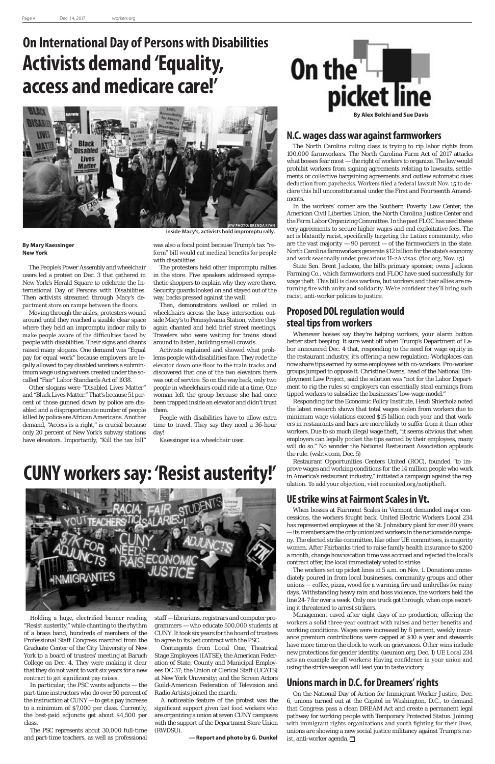

#### **By Mary Kaessinger New York**

The People's Power Assembly and wheelchair users led a protest on Dec. 3 that gathered in New York's Herald Square to celebrate the International Day of Persons with Disabilities. Then activists streamed through Macy's department store on ramps between the floors.

Moving through the aisles, protesters wound around until they reached a sizable clear space where they held an impromptu indoor rally to make people aware of the difficulties faced by people with disabilities. Their signs and chants raised many slogans. One demand was "Equal pay for equal work" because employers are legally allowed to pay disabled workers a subminimum wage using waivers created under the socalled "Fair" Labor Standards Act of 1938.

Other slogans were "Disabled Lives Matter" and "Black Lives Matter." That's because 51 percent of those gunned down by police are disabled and a disproportionate number of people killed by police are African Americans. Another demand, "Access is a right," is crucial because only 20 percent of New York's subway stations have elevators. Importantly, "Kill the tax bill"

was also a focal point because Trump's tax "reform" bill would cut medical benefits for people with disabilities.

The protesters held other impromptu rallies in the store. Five speakers addressed sympathetic shoppers to explain why they were there. Security guards looked on and stayed out of the way, backs pressed against the wall.

Then, demonstrators walked or rolled in wheelchairs across the busy intersection outside Macy's to Pennsylvania Station, where they again chanted and held brief street meetings. Travelers who were waiting for trains stood around to listen, building small crowds.

Activists explained and showed what problems people with disabilities face. They rode the elevator down one floor to the train tracks and discovered that one of the two elevators there was out of service. So on the way back, only two people in wheelchairs could ride at a time. One woman left the group because she had once been trapped inside an elevator and didn't trust them.

People with disabilities have to allow extra time to travel. They say they need a 36-hour day!

*Kaessinger is a wheelchair user.*

Holding a huge, electrified banner reading "Resist austerity," while chanting to the rhythm of a brass band, hundreds of members of the Professional Staff Congress marched from the Graduate Center of the City University of New York to a board of trustees' meeting at Baruch College on Dec. 4. They were making it clear that they do not want to wait six years for a new contract to get significant pay raises.

In particular, the PSC wants adjuncts — the part-time instructors who do over 50 percent of the instruction at CUNY — to get a pay increase to a minimum of \$7,000 per class. Currently, the best-paid adjuncts get about \$4,500 per class.

The PSC represents about 30,000 full-time and part-time teachers, as well as professional

staff — librarians, registrars and computer programmers — who educate 500,000 students at CUNY. It took six years for the board of trustees to agree to its last contract with the PSC.

Contingents from Local One, Theatrical Stage Employees (IATSE); the American Federation of State, County and Municipal Employees DC 37; the Union of Clerical Staff (UCATS) at New York University; and the Screen Actors Guild-American Federation of Television and Radio Artists joined the march.

A noticeable feature of the protest was the significant support given fast food workers who are organizing a union at seven CUNY campuses with the support of the Department Store Union (RWDSU).

**— Report and photo by G. Dunkel**

### **N.C. wages class war against farmworkers**

The North Carolina ruling class is trying to rip labor rights from 100,000 farmworkers. The North Carolina Farm Act of 2017 attacks what bosses fear most — the right of workers to organize. The law would prohibit workers from signing agreements relating to lawsuits, settlements or collective bargaining agreements and outlaw automatic dues deduction from paychecks. Workers filed a federal lawsuit Nov. 15 to declare this bill unconstitutional under the First and Fourteenth Amendments.

In the workers' corner are the Southern Poverty Law Center, the American Civil Liberties Union, the North Carolina Justice Center and the Farm Labor Organizing Committee. In the past FLOC has used these very agreements to secure higher wages and end exploitative fees. The act is blatantly racist, specifically targeting the Latinx community, who are the vast majority  $-90$  percent  $-$  of the farmworkers in the state. North Carolina farmworkers generate \$12 billion for the state's economy and work seasonally under precarious H-2A visas. (floc.org, Nov. 15)

State Sen. Brent Jackson, the bill's primary sponsor, owns Jackson Farming Co., which farmworkers and FLOC have sued successfully for wage theft. This bill is class warfare, but workers and their allies are returning fire with unity and solidarity. We're confident they'll bring such racist, anti-worker policies to justice.

### **Proposed DOL regulation would steal tips from workers**

Whenever bosses say they're helping workers, your alarm button better start beeping. It sure went off when Trump's Department of Labor announced Dec. 4 that, responding to the need for wage equity in the restaurant industry, it's offering a new regulation: Workplaces can now share tips earned by some employees with co-workers. Pro-worker groups jumped to oppose it. Christine Owens, head of the National Employment Law Project, said the solution was "not for the Labor Department to rig the rules so employers can essentially steal earnings from tipped workers to subsidize the businesses' low-wage model."

Responding for the Economic Policy Institute, Heidi Shierholz noted the latest research shows that total wages stolen from workers due to minimum wage violations exceed \$15 billion each year and that workers in restaurants and bars are more likely to suffer from it than other workers. Due to so much illegal wage theft, "it seems obvious that when employers can legally pocket the tips earned by their employees, many will do so." No wonder the National Restaurant Association applauds the rule. (wsbtv.com, Dec. 5)

Restaurant Opportunities Centers United (ROC), founded "to improve wages and working conditions for the 14 million people who work in America's restaurant industry," initiated a campaign against the regulation. To add your objection, visit rocunited.org/notiptheft.

### **UE strike wins at Fairmont Scales in Vt.**

When bosses at Fairmont Scales in Vermont demanded major concessions, the workers fought back. United Electric Workers Local 234 has represented employees at the St. Johnsbury plant for over 80 years — its members are the only unionized workers in the nationwide company. The elected strike committee, like other UE committees, is majority women. After Fairbanks tried to raise family health insurance to \$200 a month, change how vacation time was accrued and rejected the local's

contract offer, the local immediately voted to strike.

The workers set up picket lines at 5 a.m. on Nov. 1. Donations immediately poured in from local businesses, community groups and other unions — coffee, pizza, wood for a warming fire and umbrellas for rainy days. Withstanding heavy rain and boss violence, the workers held the line 24-7 for over a week. Only one truck got through, when cops escorting it threatened to arrest strikers.

Management caved after eight days of no production, offering the workers a solid three-year contract with raises and better benefits and working conditions. Wages were increased by 8 percent, weekly insurance premium contributions were capped at \$10 a year and stewards have more time on the clock to work on grievances. Other wins include new protections for gender identity. (ueunion.org, Dec. 1) UE Local 234 sets an example for all workers: Having confidence in your union and using the strike weapon will lead you to taste victory.

### **Unions march in D.C. for Dreamers' rights**

On the National Day of Action for Immigrant Worker Justice, Dec. 6, unions turned out at the Capitol in Washington, D.C., to demand that Congress pass a clean DREAM Act and create a permanent legal pathway for working people with Temporary Protected Status. Joining with immigrant rights organizations and youth fighting for their lives, unions are showing a new social justice militancy against Trump's racist, anti-worker agenda.

### **On International Day of Persons with Disabilities Activists demand 'Equality, access and medicare care!'**

### **CUNY workers say: 'Resist austerity!'**





**Inside Macy's, activists hold impromptu rally.**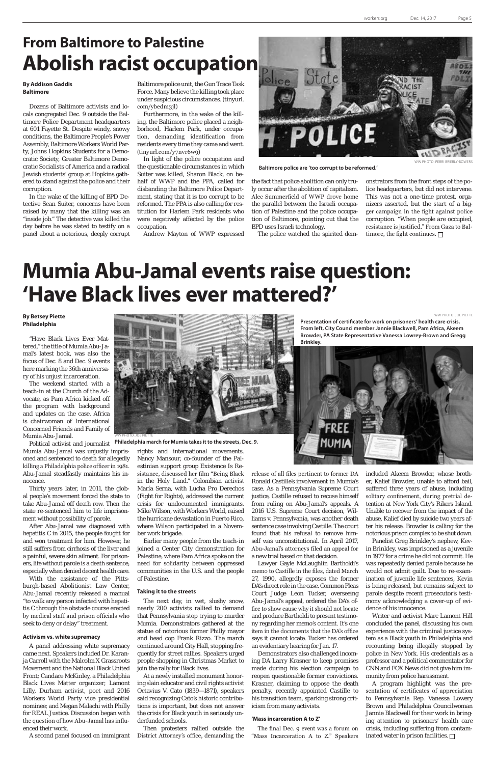#### **By Addison Gaddis Baltimore**

Dozens of Baltimore activists and locals congregated Dec. 9 outside the Baltimore Police Department headquarters at 601 Fayette St. Despite windy, snowy conditions, the Baltimore People's Power Assembly, Baltimore Workers World Party, Johns Hopkins Students for a Democratic Society, Greater Baltimore Democratic Socialists of America and a radical Jewish students' group at Hopkins gathered to stand against the police and their corruption.

In the wake of the killing of BPD Detective Sean Suiter, concerns have been raised by many that the killing was an "inside job." The detective was killed the day before he was slated to testify on a panel about a notorious, deeply corrupt

#### **By Betsey Piette Philadelphia**

"Have Black Lives Ever Mattered," the title of Mumia Abu-Jamal's latest book, was also the focus of Dec. 8 and Dec. 9 events here marking the 36th anniversary of his unjust incarceration.

The weekend started with a teach-in at the Church of the Advocate, as Pam Africa kicked off the program with background and updates on the case. Africa is chairwoman of International Concerned Friends and Family of Mumia Abu-Jamal.

Political activist and journalist Mumia Abu-Jamal was unjustly imprisoned and sentenced to death for allegedly killing a Philadelphia police officer in 1981. Abu-Jamal steadfastly maintains his innocence.

Thirty years later, in 2011, the global people's movement forced the state to take Abu-Jamal off death row. Then the state re-sentenced him to life imprisonment without possibility of parole.

After Abu-Jamal was diagnosed with hepatitis C in 2015, the people fought for and won treatment for him. However, he still suffers from cirrhosis of the liver and a painful, severe skin ailment. For prisoners, life without parole is a death sentence, especially when denied decent health care. With the assistance of the Pittsburgh-based Abolitionist Law Center, Abu-Jamal recently released a manual "to walk any person infected with hepatitis C through the obstacle course erected by medical staff and prison officials who seek to deny or delay" treatment.

#### **Activism vs. white supremacy**

A panel addressing white supremacy came next. Speakers included Dr. Karanja Carroll with the Malcolm X Grassroots Movement and the National Black United Front; Candace McKinley, a Philadelphia Black Lives Matter organizer; Lamont Lilly, Durham activist, poet and 2016 Workers World Party vice presidential nominee; and Megan Malachi with Philly for REAL Justice. Discussion began with the question of how Abu-Jamal has influenced their work.

rights and international movements. Nancy Mansour, co-founder of the Palestinian support group Existence Is Resistance, discussed her film "Being Black in the Holy Land." Colombian activist María Serna, with Lucha Pro Derechos (Fight for Rights), addressed the current crisis for undocumented immigrants. Mike Wilson, with Workers World, raised the hurricane devastation in Puerto Rico, where Wilson participated in a November work brigade.

Earlier many people from the teach-in joined a Center City demonstration for Palestine, where Pam Africa spoke on the need for solidarity between oppressed communities in the U.S. and the people of Palestine.

Panelist Greg Brinkley's nephew, Kevin Brinkley, was imprisoned as a juvenile in 1977 for a crime he did not commit. He was repeatedly denied parole because he would not admit guilt. Due to re-examination of juvenile life sentences, Kevin is being released, but remains subject to parole despite recent prosecutor's testimony acknowledging a cover-up of evidence of his innocence. Writer and activist Marc Lamont Hill concluded the panel, discussing his own experience with the criminal justice system as a Black youth in Philadelphia and recounting being illegally stopped by police in New York. His credentials as a professor and a political commentator for CNN and FOX News did not give him immunity from police harassment. A program highlight was the presentation of certificates of appreciation to Pennsylvania Rep. Vanessa Lowery Brown and Philadelphia Councilwoman Jannie Blackwell for their work in bringing attention to prisoners' health care crisis, including suffering from contaminated water in prison facilities.  $\Box$ 

A second panel focused on immigrant District Attorney's office, demanding the Then protesters rallied outside the

#### **Taking it to the streets**

The next day, in wet, slushy snow, nearly 200 activists rallied to demand that Pennsylvania stop trying to murder Mumia. Demonstrators gathered at the statue of notorious former Philly mayor and head cop Frank Rizzo. The march continued around City Hall, stopping frequently for street rallies. Speakers urged people shopping in Christmas Market to join the rally for Black lives.

At a newly installed monument honoring slain educator and civil rights activist Octavius V. Cato (1839—1871), speakers said recognizing Cato's historic contributions is important, but does not answer the crisis for Black youth in seriously underfunded schools.

### **From Baltimore to Palestine Abolish racist occupation**

onstrators from the front steps of the police headquarters, but did not intervene. This was not a one-time protest, organizers asserted, but the start of a bigger campaign in the fight against police corruption. "When people are occupied, resistance is justified." From Gaza to Baltimore, the fight continues.  $\Box$ 

Baltimore police unit, the Gun Trace Task Force. Many believe the killing took place under suspicious circumstances. (tinyurl. com/ybedm3jl)

Furthermore, in the wake of the killing, the Baltimore police placed a neighborhood, Harlem Park, under occupation, demanding identification from residents every time they came and went. (tinyurl.com/y7nvr6w9)

In light of the police occupation and the questionable circumstances in which Suiter was killed, Sharon Black, on behalf of WWP and the PPA, called for disbanding the Baltimore Police Department, stating that it is too corrupt to be reformed. The PPA is also calling for restitution for Harlem Park residents who were negatively affected by the police occupation.

Andrew Mayton of WWP expressed

State POLICE

release of all files pertinent to former DA Ronald Castille's involvement in Mumia's case. As a Pennsylvania Supreme Court justice, Castille refused to recuse himself from ruling on Abu-Jamal's appeals. A 2016 U.S. Supreme Court decision, Williams v. Pennsylvania, was another death sentence case involving Castille. The court found that his refusal to remove himself was unconstitutional. In April 2017, Abu-Jamal's attorneys filed an appeal for a new trial based on that decision. Lawyer Gayle McLaughlin Bartholdi's memo to Castille in the files, dated March 27, 1990, allegedly exposes the former DA's direct role in the case. Common Pleas Court Judge Leon Tucker, overseeing Abu-Jamal's appeal, ordered the DA's office to show cause why it should not locate and produce Bartholdi to present testimony regarding her memo's content. It's one item in the documents that the DA's office says it cannot locate. Tucker has ordered an evidentiary hearing for Jan. 17. Demonstrators also challenged incoming DA Larry Krasner to keep promises made during his election campaign to reopen questionable former convictions. Krasner, claiming to oppose the death penalty, recently appointed Castille to his transition team, sparking strong criticism from many activists.

#### **'Mass incarceration A to Z'**

The final Dec. 9 event was a forum on "Mass Incarceration A to Z." Speakers

included Akeem Browder, whose brother, Kalief Browder, unable to afford bail, suffered three years of abuse, including solitary confinement, during pretrial detention at New York City's Rikers Island. Unable to recover from the impact of the abuse, Kalief died by suicide two years after his release. Browder is calling for the notorious prison complex to be shut down.

**Baltimore police are 'too corrupt to be reformed.'**

WW PHOTO: JOE PIETTE

**Presentation of certificate for work on prisoners' health care crisis. From left, City Counci member Jannie Blackwell, Pam Africa, Akeem Browder, PA State Representative Vanessa Lowrey-Brown and Gregg Brinkley.**



the fact that police abolition can only truly occur after the abolition of capitalism. Alec Summerfield of WWP drove home the parallel between the Israeli occupation of Palestine and the police occupation of Baltimore, pointing out that the BPD uses Israeli technology.

The police watched the spirited dem-

WW PHOTO: PERRI BRIERLY-BOWER

## **Mumia Abu-Jamal events raise question: 'Have Black lives ever mattered?'**



**Philadelphia march for Mumia takes it to the streets, Dec. 9.**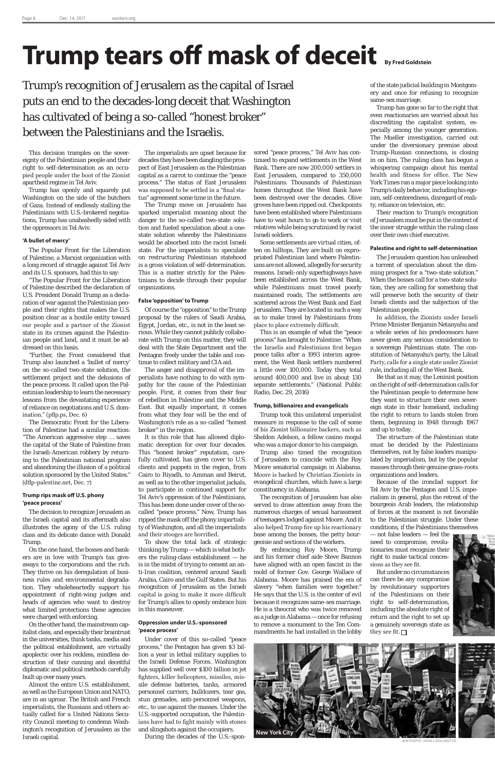# **Trump tears off mask of deceit** By Fred Goldstein

Trump's recognition of Jerusalem as the capital of Israel puts an end to the decades-long deceit that Washington has cultivated of being a so-called "honest broker" between the Palestinians and the Israelis.

This decision tramples on the sovereignty of the Palestinian people and their right to self-determination as an occupied people under the boot of the Zionist apartheid regime in Tel Aviv.

Trump has openly and squarely put Washington on the side of the butchers of Gaza. Instead of endlessly stalling the Palestinians with U.S.-brokered negotiations, Trump has unabashedly sided with the oppressors in Tel Aviv.

#### **'A bullet of mercy'**

The Popular Front for the Liberation of Palestine, a Marxist organization with a long record of struggle against Tel Aviv and its U.S. sponsors, had this to say:

"The Popular Front for the Liberation of Palestine described the declaration of U.S. President Donald Trump as a declaration of war against the Palestinian people and their rights that makes the U.S. position clear as a hostile entity toward our people and a partner of the Zionist state in its crimes against the Palestinian people and land, and it must be addressed on this basis.

"Further, the Front considered that Trump also launched a 'bullet of mercy' on the so-called two-state solution, the settlement project and the delusions of the peace process. It called upon the Palestinian leadership to learn the necessary lessons from the devastating experience of reliance on negotiations and U.S. domination." (pflp.ps, Dec. 6)

The Democratic Front for the Liberation of Palestine had a similar reaction: "The American aggressive step … saves the capital of the State of Palestine from the Israeli-American robbery by returning to the Palestinian national program and abandoning the illusion of a political solution sponsored by the United States." (dflp-palestine.net, Dec. 7)

#### **Trump rips mask off U.S. phony 'peace process'**

The decision to recognize Jerusalem as the Israeli capital and its aftermath also illustrates the agony of the U.S. ruling class and its delicate dance with Donald Trump.

On the one hand, the bosses and bankers are in love with Trump's tax giveaways to the corporations and the rich. They thrive on his deregulation of business rules and environmental degradation. They wholeheartedly support his appointment of right-wing judges and heads of agencies who want to destroy what limited protections these agencies were charged with enforcing. On the other hand, the mainstream capitalist class, and especially their braintrust in the universities, think tanks, media and the political establishment, are virtually apoplectic over his reckless, mindless destruction of their cunning and deceitful diplomatic and political methods carefully built up over many years. Almost the entire U.S. establishment, as well as the European Union and NATO, are in an uproar. The British and French imperialists, the Russians and others actually called for a United Nations Security Council meeting to condemn Washington's recognition of Jerusalem as the Israeli capital.

The imperialists are upset because for decades they have been dangling the prospect of East Jerusalem as the Palestinian capital as a carrot to continue the "peace process." The status of East Jerusalem was supposed to be settled in a "final status" agreement some time in the future.

The Trump move on Jerusalem has sparked imperialist moaning about the danger to the so-called two-state solution and fueled speculation about a onestate solution whereby the Palestinians would be absorbed into the racist Israeli state. For the imperialists to speculate on restructuring Palestinian statehood is a gross violation of self-determination. This is a matter strictly for the Palestinians to decide through their popular organizations.

#### **False 'opposition' to Trump**

Of course the "opposition" to the Trump proposal by the rulers of Saudi Arabia, Egypt, Jordan, etc., is not in the least serious. While they cannot publicly collaborate with Trump on this matter, they will deal with the State Department and the Pentagon freely under the table and continue to collect military and CIA aid.

The anger and disapproval of the imperialists have nothing to do with sympathy for the cause of the Palestinian people. First, it comes from their fear of rebellion in Palestine and the Middle East. But equally important, it comes from what they fear will be the end of Washington's role as a so-called "honest broker" in the region.

It is this role that has allowed diplomatic deception for over four decades. This "honest broker" reputation, carefully cultivated, has given cover to U.S. clients and puppets in the region, from Cairo to Riyadh, to Amman and Beirut, as well as to the other imperialist jackals, to participate in continued support for Tel Aviv's oppression of the Palestinians. This has been done under cover of the socalled "peace process." Now, Trump has ripped the mask off the phony impartiality of Washington, and all the imperialists and their stooges are horrified.

To show the total lack of strategic thinking by Trump — which is what bothers the ruling-class establishment — he is in the midst of trying to cement an anti-Iran coalition, centered around Saudi Arabia, Cairo and the Gulf States. But his recognition of Jerusalem as the Israeli capital is going to make it more difficult for Trump's allies to openly embrace him in this maneuver.

But under no circumstances can there be any compromise by revolutionary supporters of the Palestinians on their right to self-determination, including the absolute right of return and the right to set up a genuinely sovereign state as they see fit.  $\Box$ 

#### **Oppression under U.S.-sponsored 'peace process'**



WW PHOTO: JOHN CATALINOTTO

Under cover of this so-called "peace process," the Pentagon has given \$3 billion a year in lethal military supplies to the Israeli Defense Forces. Washington has supplied well over \$100 billion in jet fighters, killer helicopters, missiles, missile defense batteries, tanks, armored personnel carriers, bulldozers, tear gas, stun grenades, anti-personnel weapons, etc., to use against the masses. Under the U.S.-supported occupation, the Palestinians have had to fight mainly with stones and slingshots against the occupiers. During the decades of the U.S.-sponsored "peace process," Tel Aviv has continued to expand settlements in the West Bank. There are now 200,000 settlers in East Jerusalem, compared to 350,000 Palestinians. Thousands of Palestinian homes throughout the West Bank have been destroyed over the decades. Olive groves have been ripped out. Checkpoints have been established where Palestinians have to wait hours to go to work or visit relatives while being scrutinized by racist Israeli soldiers.

Some settlements are virtual cities, often on hilltops. They are built on expropriated Palestinian land where Palestinians are not allowed, allegedly for security reasons. Israeli-only superhighways have been established across the West Bank, while Palestinians must travel poorly maintained roads. The settlements are scattered across the West Bank and East Jerusalem. They are located in such a way as to make travel by Palestinians from place to place extremely difficult.

This is an example of what the "peace process" has brought to Palestine: "When the Israelis and Palestinians first began peace talks after a 1993 interim agreement, the West Bank settlers numbered a little over 100,000. Today they total around 400,000 and live in about 130 separate settlements." (National Public Radio, Dec. 29, 2016)

#### **Trump, billionaires and evangelicals**

Trump took this unilateral imperialist measure in response to the call of some of his Zionist billionaire backers, such as Sheldon Adelson, a fellow casino mogul who was a major donor to his campaign.

Trump also timed the recognition of Jerusalem to coincide with the Roy Moore senatorial campaign in Alabama. Moore is backed by Christian Zionists in evangelical churches, which have a large constituency in Alabama.

The recognition of Jerusalem has also served to draw attention away from the numerous charges of sexual harassment of teenagers lodged against Moore. And it also helped Trump fire up his reactionary base among the bosses, the petty bourgeoisie and sections of the workers.

By embracing Roy Moore, Trump and his former chief aide Steve Bannon have aligned with an open fascist in the mold of former Gov. George Wallace of Alabama. Moore has praised the era of slavery "when families were together." He says that the U.S. is the center of evil because it recognizes same-sex marriage. He is a theocrat who was twice removed as a judge in Alabama — once for refusing to remove a monument to the Ten Commandments he had installed in the lobby

of the state judicial building in Montgomery and once for refusing to recognize same-sex marriage.

Trump has gone so far to the right that even reactionaries are worried about his discrediting the capitalist system, especially among the younger generation. The Mueller investigation, carried out under the diversionary premise about Trump-Russian connections, is closing in on him. The ruling class has begun a whispering campaign about his mental health and fitness for office. The New York Times ran a major piece looking into Trump's daily behavior, including his egoism, self-centeredness, disregard of reality, reliance on television, etc.

Their reaction to Trump's recognition of Jerusalem must be put in the context of the inner struggle within the ruling class over their own chief executive.

#### **Palestine and right to self-determination**

The Jerusalem question has unleashed a torrent of speculation about the dimming prospect for a "two-state solution." When the bosses call for a two-state solution, they are calling for something that will preserve both the security of their Israeli clients and the subjection of the Palestinian people.

In addition, the Zionists under Israeli Prime Minister Benjamin Netanyahu and a whole series of his predecessors have never given any serious consideration to a sovereign Palestinian state. The constitution of Netanyahu's party, the Likud Party, calls for a single state under Zionist rule, including all of the West Bank.

Be that as it may, the Leninist position on the right of self-determination calls for the Palestinian people to determine how they want to structure their own sovereign state in their homeland, including the right to return to lands stolen from them, beginning in 1948 through 1967 and up to today.

The structure of the Palestinian state must be decided by the Palestinians themselves, not by false leaders manipulated by imperialism, but by the popular masses through their genuine grass-roots organizations and leaders.

Because of the ironclad support for Tel Aviv by the Pentagon and U.S. imperialism in general, plus the retreat of the bourgeois Arab leaders, the relationship of forces at the moment is not favorable to the Palestinian struggle. Under these conditions, if the Palestinians themselves

— not false leaders — feel the need to compromise, revolutionaries must recognize their right to make tactical conces-



sions as they see fit.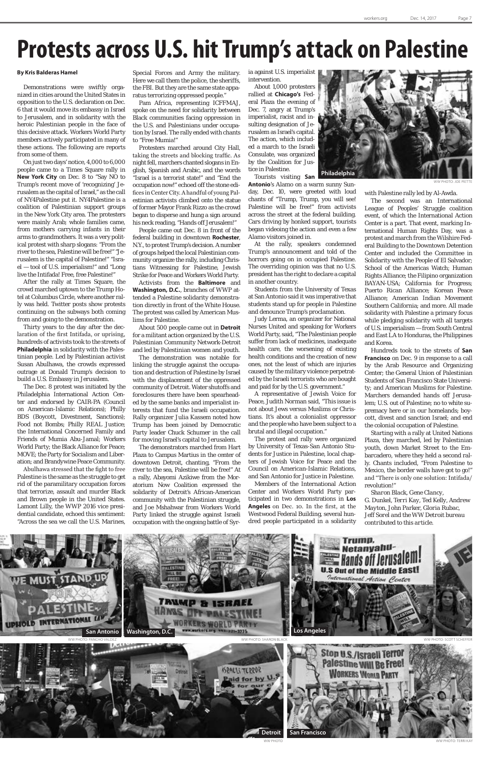## **Protests across U.S. hit Trump's attack on Palestine**

#### **By Kris Balderas Hamel**

Demonstrations were swiftly organized in cities around the United States in opposition to the U.S. declaration on Dec. 6 that it would move its embassy in Israel to Jerusalem, and in solidarity with the heroic Palestinian people in the face of this decisive attack. Workers World Party members actively participated in many of these actions. The following are reports from some of them.

On just two days' notice, 4,000 to 6,000 people came to a Times Square rally in **New York City** on Dec. 8 to "Say NO to Trump's recent move of 'recognizing' Jerusalem as the capital of Israel," as the call of NY4Palestine put it. NY4Palestine is a coalition of Palestinian support groups in the New York City area. The protesters were mainly Arab; whole families came, from mothers carrying infants in their arms to grandmothers. It was a very political protest with sharp slogans: "From the river to the sea, Palestine will be free!" "Jerusalem is the capital of Palestine!" "Israel — tool of U.S. imperialism!" and "Long live the Intifada! Free, free Palestine!"

After the rally at Times Square, the crowd marched uptown to the Trump Hotel at Columbus Circle, where another rally was held. Twitter posts show protests continuing on the subways both coming from and going to the demonstration.

Thirty years to the day after the declaration of the first Intifada, or uprising, hundreds of activists took to the streets of **Philadelphia** in solidarity with the Palestinian people. Led by Palestinian activist Susan Abulhawa, the crowds expressed outrage at Donald Trump's decision to build a U.S. Embassy in Jerusalem.

The Dec. 8 protest was initiated by the Philadelphia International Action Center and endorsed by CAIR-PA (Council on American-Islamic Relations); Philly BDS (Boycott, Divestment, Sanctions); Food not Bombs; Philly REAL Justice; the International Concerned Family and Friends of Mumia Abu-Jamal; Workers World Party; the Black Alliance for Peace; MOVE; the Party for Socialism and Liberation; and Brandywine Peace Community.

Abulhawa stressed that the fight to free Palestine is the same as the struggle to get rid of the paramilitary occupation forces that terrorize, assault and murder Black and Brown people in the United States. Lamont Lilly, the WWP 2016 vice presidential candidate, echoed this sentiment: "Across the sea we call the U.S. Marines,

Special Forces and Army the military. Here we call them the police, the sheriffs, the FBI. But they are the same state apparatus terrorizing oppressed people."

Pam Africa, representing ICFFMAJ, spoke on the need for solidarity between Black communities facing oppression in the U.S. and Palestinians under occupation by Israel. The rally ended with chants to "Free Mumia!"

Protesters marched around City Hall, taking the streets and blocking traffic. As night fell, marchers chanted slogans in English, Spanish and Arabic, and the words "Israel is a terrorist state!" and "End the occupation now!" echoed off the stone edifices in Center City. A handful of young Palestinian activists climbed onto the statue of former Mayor Frank Rizzo as the crowd began to disperse and hung a sign around his neck reading, "Hands off Jerusalem!"

People came out Dec. 8 in front of the federal building in downtown **Rochester**, N.Y., to protest Trump's decision. A number of groups helped the local Palestinian community organize the rally, including Christians Witnessing for Palestine, Jewish Strike for Peace and Workers World Party.

Activists from the **Baltimore** and **Washington, D.C.**, branches of WWP attended a Palestine solidarity demonstration directly in front of the White House. The protest was called by American Muslims for Palestine.

About 500 people came out in **Detroit**  for a militant action organized by the U.S. Palestinian Community Network-Detroit and led by Palestinian women and youth.

The demonstration was notable for linking the struggle against the occupation and destruction of Palestine by Israel with the displacement of the oppressed community of Detroit. Water shutoffs and foreclosures there have been spearheaded by the same banks and imperialist interests that fund the Israeli occupation. Rally organizer Julia Kassem noted how Trump has been joined by Democratic Party leader Chuck Schumer in the call for moving Israel's capital to Jerusalem.

The demonstrators marched from Hart Plaza to Campus Martius in the center of downtown Detroit, chanting, "From the river to the sea, Palestine will be free!" At a rally, Abayomi Azikiwe from the Moratorium Now Coalition expressed the solidarity of Detroit's African-American community with the Palestinian struggle, and Joe Mshahwar from Workers World Party linked the struggle against Israeli occupation with the ongoing battle of Syria against U.S. imperialist intervention.

About 1,000 protesters rallied at **Chicago's** Federal Plaza the evening of Dec. 7, angry at Trump's imperialist, racist and insulting designation of Jerusalem as Israel's capital. The action, which included a march to the Israeli Consulate, was organized by the Coalition for Justice in Palestine.

Tourists visiting **San** 

**Antonio**'s Alamo on a warm sunny Sunday, Dec. 10, were greeted with loud chants of "Trump, Trump, you will see! Palestine will be free!" from activists across the street at the federal building. Cars driving by honked support, tourists began videoing the action and even a few Alamo visitors joined in.

At the rally, speakers condemned Trump's announcement and told of the horrors going on in occupied Palestine. The overriding opinion was that no U.S. president has the right to declare a capital in another country.

Students from the University of Texas at San Antonio said it was imperative that students stand up for people in Palestine and denounce Trump's proclamation.

Judy Lerma, an organizer for National Nurses United and speaking for Workers World Party, said, "The Palestinian people suffer from lack of medicines, inadequate health care, the worsening of existing health conditions and the creation of new ones, not the least of which are injuries caused by the military violence perpetrated by the Israeli terrorists who are bought and paid for by the U.S. government."

A representative of Jewish Voice for Peace, Judith Norman said, "This issue is not about Jews versus Muslims or Christians. It's about a colonialist oppressor and the people who have been subject to a brutal and illegal occupation."

The protest and rally were organized by University of Texas-San Antonio Students for Justice in Palestine, local chapters of Jewish Voice for Peace and the Council on American-Islamic Relations, and San Antonio for Justice in Palestine.

Members of the International Action Center and Workers World Party participated in two demonstrations in **Los Angeles** on Dec. 10. In the first, at the Westwood Federal Building, several hundred people participated in a solidarity with Palestine rally led by Al-Awda.

The second was an International League of Peoples' Struggle coalition event, of which the International Action Center is a part. That event, marking International Human Rights Day, was a protest and march from the Wilshire Federal Building to the Downtown Detention Center and included the Committee in Solidarity with the People of El Salvador; School of the Americas Watch; Human Rights Alliance; the Filipino organization BAYAN-USA; California for Progress; Puerto Rican Alliance; Korean Peace Alliance; American Indian Movement Southern California; and more. All made solidarity with Palestine a primary focus while pledging solidarity with all targets of U.S. imperialism — from South Central and East LA to Honduras, the Philippines and Korea.

Hundreds took to the streets of **San Francisco** on Dec. 9 in response to a call by the Arab Resource and Organizing Center; the General Union of Palestinian Students of San Francisco State University; and American Muslims for Palestine. Marchers demanded hands off Jerusalem; U.S. out of Palestine; no to white supremacy here or in our homelands; boycott, divest and sanction Israel; and end the colonial occupation of Palestine.

Starting with a rally at United Nations Plaza, they marched, led by Palestinian youth, down Market Street to the Embarcadero, where they held a second rally. Chants included, "From Palestine to Mexico, the border walls have got to go!" and "There is only one solution: Intifada/ revolution!"

*Sharon Black, Gene Clancy, G. Dunkel, Terri Kay, Ted Kelly, Andrew Mayton, John Parker, Gloria Rubac, Jeff Sorel and the WW Detroit bureau contributed to this article*.

WW PHOTO: JOE PIETTE



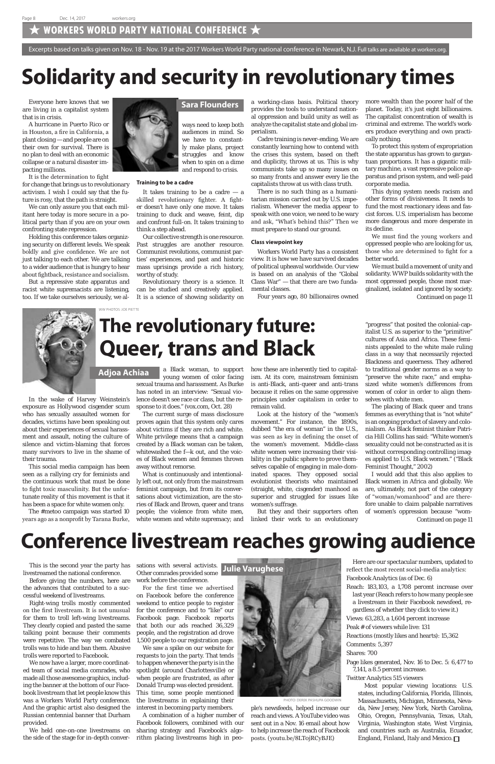### WORKERS WORLD PARTY NATIONAL CONFERENCE  $\bigstar$

## **Solidarity and security in revolutionary times**

## **The revolutionary future: Queer, trans and Black**

## **Conference livestream reaches growing audience**



In the wake of Harvey Weinstein's exposure as Hollywood cisgender scum who has sexually assaulted women for decades, victims have been speaking out about their experiences of sexual harassment and assault, noting the culture of silence and victim-blaming that forces many survivors to live in the shame of their trauma.

This social media campaign has been seen as a rallying cry for feminists and the continuous work that must be done to fight toxic masculinity. But the unfortunate reality of this movement is that it has been a space for white women only.

The #metoo campaign was started 10 years ago as a nonprofit by Tarana Burke,

Everyone here knows that we are living in a capitalist system that is in crisis.

A hurricane in Puerto Rico or in Houston, a fire in California, a plant closing — and people are on their own for survival. There is no plan to deal with an economic collapse or a natural disaster impacting millions.

It is the determination to fight for change that brings us to revolutionary activism. I wish I could say that the future is rosy, that the path is straight.

We can only assure you that each militant here today is more secure in a political party than if you are on your own confronting state repression.

Holding this conference takes organizing security on different levels. We speak boldly and give confidence. We are not just talking to each other. We are talking to a wider audience that is hungry to hear about fightback, resistance and socialism.

It takes training to be a cadre  $-$  a skilled revolutionary fighter. A fighter doesn't have only one move. It takes training to duck and weave, feint, dip and confront full-on. It takes training to think a step ahead.

But a repressive state apparatus and racist white supremacists are listening, too. If we take ourselves seriously, we al-



This is the second year the party has livestreamed the national conference.

Before giving the numbers, here are the advances that contributed to a successful weekend of livestreams.

Right-wing trolls mostly commented on the first livestream. It is not unusual for them to troll left-wing livestreams. They clearly copied and pasted the same talking point because their comments were repetitive. The way we combated trolls was to hide and ban them. Abusive trolls were reported to Facebook.

We now have a larger, more coordinated team of social media comrades, who made all those awesome graphics, including the banner at the bottom of our Facebook livestream that let people know this was a Workers World Party conference. And the graphic artist also designed the Russian centennial banner that Durham provided.

We held one-on-one livestreams on the side of the stage for in-depth conver-

Excerpts based on talks given on Nov. 18 - Nov. 19 at the 2017 Workers World Party national conference in Newark, N.J. Full talks are available at workers.org.

ways need to keep both audiences in mind. So we have to constantly make plans, project struggles and know when to spin on a dime and respond to crisis.

#### **Training to be a cadre**

Our collective strength is one resource. Past struggles are another resource. Communist revolutions, communist parties' experiences, and past and historic mass uprisings provide a rich history, worthy of study.

Revolutionary theory is a science. It can be studied and creatively applied. It is a science of showing solidarity on

a working-class basis. Political theory provides the tools to understand national oppression and build unity as well as analyze the capitalist state and global imperialism.

Cadre training is never-ending. We are constantly learning how to contend with the crises this system, based on theft and duplicity, throws at us. This is why communists take up so many issues on so many fronts and answer every lie the capitalists throw at us with class truth.

There is no such thing as a humanitarian mission carried out by U.S. imperialism. Whenever the media appear to speak with one voice, we need to be wary and ask, "What's behind this?" Then we must prepare to stand our ground.

#### **Class viewpoint key**

Workers World Party has a consistent view. It is how we have survived decades of political upheaval worldwide. Our view is based on an analysis of the "Global Class War" — that there are two fundamental classes.

Four years ago, 80 billionaires owned

more wealth than the poorer half of the planet. Today, it's just eight billionaires. The capitalist concentration of wealth is criminal and extreme. The world's workers produce everything and own practically nothing.

Most popular viewing locations: U.S. states, including California, Florida, Illinois, Massachusetts, Michigan, Minnesota, Nevada, New Jersey, New York, North Carolina, Ohio, Oregon, Pennsylvania, Texas, Utah, Virginia, Washington state, West Virginia, and countries such as Australia, Ecuador, England, Finland, Italy and Mexico.  $\Box$ 

To protect this system of expropriation the state apparatus has grown to gargantuan proportions. It has a gigantic military machine, a vast repressive police apparatus and prison system, and well-paid corporate media.

This dying system needs racism and other forms of divisiveness. It needs to fund the most reactionary ideas and fascist forces. U.S. imperialism has become more dangerous and more desperate in its decline.

We must find the young workers and oppressed people who are looking for us, those who are determined to fight for a better world.

#### **Sara Flounders**

a Black woman, to support young women of color facing sexual trauma and harassment. As Burke has noted in an interview: "Sexual violence doesn't see race or class, but the response to it does." (vox.com, Oct. 28)

The current surge of mass disclosure proves again that this system only cares about victims if they are rich and white. White privilege means that a campaign created by a Black woman can be taken, whitewashed the f—k out, and the voices of Black women and femmes thrown away without remorse.

What is continuously and intentionally left out, not only from the mainstream feminist campaign, but from its conversations about victimization, are the stories of Black and Brown, queer and trans people; the violence from white men, white women and white supremacy; and how these are inherently tied to capitalism. At its core, mainstream feminism is anti-Black, anti-queer and anti-trans because it relies on the same oppressive principles under capitalism in order to remain valid.

Look at the history of the "women's movement." For instance, the 1890s, dubbed "the era of woman" in the U.S., was seen as key in defining the onset of the women's movement. Middle-class white women were increasing their visibility in the public sphere to prove themselves capable of engaging in male-dominated spaces. They opposed social evolutionist theorists who maintained (straight, white, cisgender) manhood as superior and struggled for issues like women's suffrage.

But they and their supporters often linked their work to an evolutionary

"progress" that posited the colonial-capitalist U.S. as superior to the "primitive" cultures of Asia and Africa. These feminists appealed to the white male ruling class in a way that necessarily rejected Blackness and queerness. They adhered to traditional gender norms as a way to "preserve the white race," and emphasized white women's differences from women of color in order to align themselves with white men.

We must build a movement of unity and solidarity. WWP builds solidarity with the most oppressed people, those most marginalized, isolated and ignored by society. *Continued on page 11*



The placing of Black queer and trans femmes as everything that is "not white" is an ongoing product of slavery and colonialism. As Black feminist thinker Patricia Hill Collins has said: "White women's sexuality could not be constructed as it is without corresponding controlling images applied to U.S. Black women." ("Black Feminist Thought," 2002)

I would add that this also applies to Black women in Africa and globally. We are, ultimately, not part of the category of "woman/womanhood" and are therefore unable to claim palpable narratives of women's oppression because "wom-

sations with several activists. Other comrades provided some work before the conference.

For the first time we advertised on Facebook before the conference weekend to entice people to register for the conference and to "like" our Facebook page. Facebook reports that both our ads reached 36,329 people, and the registration ad drove 1,500 people to our registration page. We saw a spike on our website for requests to join the party. That tends to happen whenever the party is in the spotlight (around Charlottesville) or when people are frustrated, as after Donald Trump was elected president. This time, some people mentioned the livestreams in explaining their interest in becoming party members.

A combination of a higher number of Facebook followers, combined with our sharing strategy and Facebook's algorithm placing livestreams high in peo-

ple's newsfeeds, helped increase our reach and views. A YouTube video was sent out in a Nov. 16 email about how to help increase the reach of Facebook posts. (youtu.be/8LT0jRCyBJE)

Here are our spectacular numbers, updated to reflect the most recent social-media analytics: Facebook Analytics (as of Dec. 6)

Reach: 183,103, a 1,708 percent increase over last year (Reach refers to how many people see a livestream in their Facebook newsfeed, regardless of whether they click to view it.) Views: 63,283, a 1,604 percent increase Peak # of viewers while live: 131 Reactions (mostly likes and hearts): 15,362 Comments: 5,397 Shares: 700

Page likes generated, Nov. 16 to Dec. 5: 6,477 to 7,141, a 8.5 percent increase.

Twitter Analytics 515 viewers

### **Julie Varughese**

*Continued on page 11*

WW PHOTOS: JOE PIETTE

PHOTO: DEREK PASHUPA GOODWIN

#### **Adjoa Achiaa**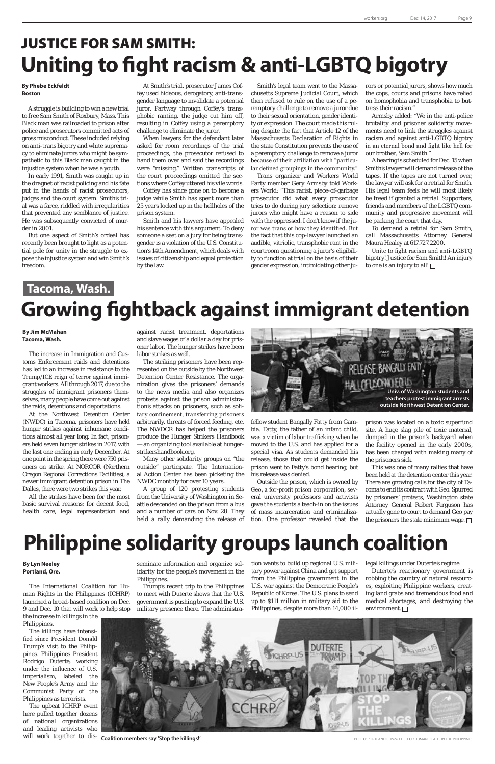### JUSTICE FOR SAM SMITH**: Uniting to fight racism & anti-LGBTQ bigotry**

### **Tacoma, Wash. Growing fightback against immigrant detention**

## **Philippine solidarity groups launch coalition**

#### **By Jim McMahan Tacoma, Wash.**

The increase in Immigration and Customs Enforcement raids and detentions has led to an increase in resistance to the Trump/ICE reign of terror against immigrant workers. All through 2017, due to the struggles of immigrant prisoners themselves, many people have come out against the raids, detentions and deportations.

At the Northwest Detention Center (NWDC) in Tacoma, prisoners have held hunger strikes against inhumane conditions almost all year long. In fact, prisoners held seven hunger strikes in 2017, with the last one ending in early December. At one point in the spring there were 750 prisoners on strike. At NORCOR (Northern Oregon Regional Corrections Facilities), a newer immigrant detention prison in The Dalles, there were two strikes this year.

All the strikes have been for the most basic survival reasons: for decent food, health care, legal representation and

#### **By Phebe Eckfeldt Boston**

A struggle is building to win a new trial to free Sam Smith of Roxbury, Mass. This Black man was railroaded to prison after police and prosecutors committed acts of gross misconduct. These included relying on anti-trans bigotry and white supremacy to eliminate jurors who might be sympathetic to this Black man caught in the injustice system when he was a youth.

In early 1991, Smith was caught up in the dragnet of racist policing and his fate put in the hands of racist prosecutors, judges and the court system. Smith's trial was a farce, riddled with irregularities that prevented any semblance of justice. He was subsequently convicted of murder in 2001.

But one aspect of Smith's ordeal has recently been brought to light as a potential pole for unity in the struggle to expose the injustice system and win Smith's freedom.

#### **By Lyn Neeley Portland, Ore.**

The International Coalition for Human Rights in the Philippines (ICHRP) launched a broad-based coalition on Dec. 9 and Dec. 10 that will work to help stop the increase in killings in the Philippines.

The killings have intensified since President Donald Trump's visit to the Philippines. Philippines President Rodrigo Duterte, working under the influence of U.S. imperialism, labeled the New People's Army and the Communist Party of the Philippines as terrorists.

The upbeat ICHRP event here pulled together dozens of national organizations and leading activists who will work together to dis-

Unite to fight racism and anti-LGBTQ bigotry! Justice for Sam Smith! An injury to one is an injury to all!  $\square$ 

At Smith's trial, prosecutor James Coffey used hideous, derogatory, anti-transgender language to invalidate a potential juror. Partway through Coffey's transphobic ranting, the judge cut him off, resulting in Coffey using a peremptory challenge to eliminate the juror.

When lawyers for the defendant later asked for room recordings of the trial proceedings, the prosecutor refused to hand them over and said the recordings were "missing." Written transcripts of the court proceedings omitted the sections where Coffey uttered his vile words.

Coffey has since gone on to become a judge while Smith has spent more than 25 years locked up in the hellholes of the prison system.

Smith and his lawyers have appealed his sentence with this argument: To deny someone a seat on a jury for being transgender is a violation of the U.S. Constitution's 14th Amendment, which deals with issues of citizenship and equal protection by the law.

> This was one of many rallies that have been held at the detention center this year. There are growing calls for the city of Tacoma to end its contract with Geo. Spurred by prisoners' protests, Washington state Attorney General Robert Ferguson has actually gone to court to demand Geo pay the prisoners the state minimum wage.  $\square$

Smith's legal team went to the Massachusetts Supreme Judicial Court, which then refused to rule on the use of a peremptory challenge to remove a juror due to their sexual orientation, gender identity or expression. The court made this ruling despite the fact that Article 12 of the Massachusetts Declaration of Rights in the state Constitution prevents the use of a peremptory challenge to remove a juror because of their affiliation with "particular defined groupings in the community."

> Duterte's reactionary government is robbing the country of natural resources, exploiting Philippine workers, creating land grabs and tremendous food and medical shortages, and destroying the environment.  $\Box$



**Coalition members say 'Stop the killings!'** PHOTO: PORTLAND COMMITTEE FOR HUMAN RIGHTS IN THE PHILIPPINES

Trans organizer and Workers World Party member Gery Armsby told Workers World: "This racist, piece-of-garbage prosecutor did what every prosecutor tries to do during jury selection: remove jurors who might have a reason to side with the oppressed. I don't know if the juror was trans or how they identified. But the fact that this cop-lawyer launched an audible, vitriolic, transphobic rant in the courtroom questioning a juror's eligibility to function at trial on the basis of their gender expression, intimidating other jurors or potential jurors, shows how much the cops, courts and prisons have relied on homophobia and transphobia to buttress their racism."

Armsby added: "We in the anti-police brutality and prisoner solidarity movements need to link the struggles against racism and against anti-LGBTQ bigotry in an eternal bond and fight like hell for our brother, Sam Smith."

A hearing is scheduled for Dec. 15 when Smith's lawyer will demand release of the tapes. If the tapes are not turned over, the lawyer will ask for a retrial for Smith. His legal team feels he will most likely be freed if granted a retrial. Supporters, friends and members of the LGBTQ community and progressive movement will be packing the court that day.

To demand a retrial for Sam Smith, call Massachusetts Attorney General Maura Healey at 617.727.2200.

against racist treatment, deportations and slave wages of a dollar a day for prisoner labor. The hunger strikes have been labor strikes as well.

The striking prisoners have been represented on the outside by the Northwest Detention Center Resistance. The organization gives the prisoners' demands to the news media and also organizes protests against the prison administration's attacks on prisoners, such as solitary confinement, transferring prisoners arbitrarily, threats of forced feeding, etc. The NWDCR has helped the prisoners produce the Hunger Strikers Handbook — an organizing tool available at hungerstrikershandbook.org.

Many other solidarity groups on "the outside" participate. The International Action Center has been picketing the NWDC monthly for over 10 years.

A group of 120 protesting students from the University of Washington in Seattle descended on the prison from a bus and a number of cars on Nov. 28. They held a rally demanding the release of

fellow student Bangally Fatty from Gambia. Fatty, the father of an infant child, was a victim of labor trafficking when he moved to the U.S. and has applied for a special visa. As students demanded his release, those that could get inside the prison went to Fatty's bond hearing, but his release was denied.

Outside the prison, which is owned by Geo, a for-profit prison corporation, several university professors and activists gave the students a teach-in on the issues of mass incarceration and criminalization. One professor revealed that the prison was located on a toxic superfund site. A huge slag pile of toxic material, dumped in the prison's backyard when the facility opened in the early 2000s, has been charged with making many of the prisoners sick.

seminate information and organize solidarity for the people's movement in the Philippines.

Trump's recent trip to the Philippines to meet with Duterte shows that the U.S. government is pushing to expand the U.S. military presence there. The administration wants to build up regional U.S. military power against China and get support from the Philippine government in the U.S. war against the Democratic People's Republic of Korea. The U.S. plans to send up to \$111 million in military aid to the Philippines, despite more than 14,000 illegal killings under Duterte's regime.

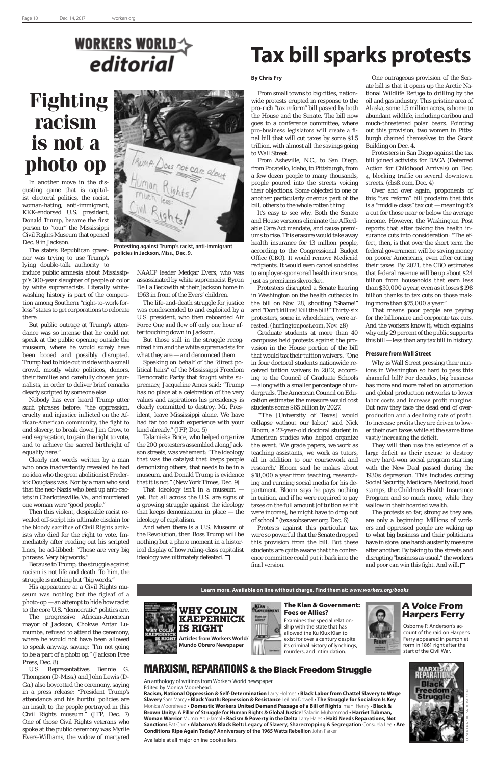### **WORKERS WORLD** editorial

In another move in the disgusting game that is capitalist electoral politics, the racist, woman-hating, anti-immigrant, KKK-endorsed U.S. president, Donald Trump, became the first person to "tour" the Mississippi Civil Rights Museum that opened Dec. 9 in Jackson.

The state's Republican governor was trying to use Trump's lying double-talk authority to

induce public amnesia about Mississippi's 300-year slaughter of people of color by white supremacists. Literally whitewashing history is part of the competition among Southern "right-to-work-forless" states to get corporations to relocate there.

But public outrage at Trump's attendance was so intense that he could not speak at the public opening outside the museum, where he would surely have been booed and possibly disrupted. Trump had to hide out inside with a small crowd, mostly white politicos, donors, their families and carefully chosen journalists, in order to deliver brief remarks clearly scripted by someone else.

Nobody has ever heard Trump utter such phrases before: "the oppression, cruelty and injustice inflicted on the African-American community, the fight to end slavery, to break down Jim Crow, to end segregation, to gain the right to vote, and to achieve the sacred birthright of equality here."

Clearly not words written by a man who once inadvertently revealed he had no idea who the great abolitionist Frederick Douglass was. Nor by a man who said that the neo-Nazis who beat up anti-racists in Charlottesville, Va., and murdered one woman were "good people."

Then this violent, despicable racist revealed off-script his ultimate disdain for the bloody sacrifice of Civil Rights activists who died for the right to vote. Immediately after reading out his scripted lines, he ad-libbed: "Those are very big phrases. Very big words."

Because to Trump, the struggle against racism is not life and death. To him, the struggle is nothing but "big words."

And when there is a U.S. Museum of the Revolution, then Boss Trump will be nothing but a photo moment in a historical display of how ruling-class capitalist ideology was ultimately defeated.  $\Box$ 

His appearance at a Civil Rights museum was nothing but the figleaf of a photo-op — an attempt to hide how racist to the core U.S. "democratic" politics are.

The progressive African-American mayor of Jackson, Chokwe Antar Lumumba, refused to attend the ceremony, where he would not have been allowed to speak anyway, saying: "I'm not going to be a part of a photo op." (Jackson Free Press, Dec. 8)

U.S. Representatives Bennie G. Thompson (D-Miss.) and John Lewis (D-Ga.) also boycotted the ceremony, saying in a press release: "President Trump's attendance and his hurtful policies are an insult to the people portrayed in this Civil Rights museum." (JFP, Dec. 7) One of those Civil Rights veterans who spoke at the public ceremony was Myrlie Evers-Williams, the widow of martyred NAACP leader Medgar Evers, who was assassinated by white supremacist Byron De La Beckwith at their Jackson home in 1963 in front of the Evers' children.

The life-and-death struggle for justice was condescended to and exploited by a U.S. president, who then reboarded Air Force One and flew off only one hour after touching down in Jackson.

But those still in the struggle recognized him and the white supremacists for what they are — and denounced them.

Speaking on behalf of the "direct political heirs" of the Mississippi Freedom Democratic Party that fought white supremacy, Jacqueline Amos said: "Trump has no place at a celebration of the very values and aspirations his presidency is clearly committed to destroy. Mr. President, leave Mississippi alone. We have had far too much experience with your kind already." (JFP, Dec. 5)

Talamieka Brice, who helped organize the 200 protesters assembled along Jackson streets, was vehement: "The ideology that was the catalyst that keeps people demonizing others, that needs to be in a museum, and Donald Trump is evidence that it is not." (New York Times, Dec. 9)

That ideology isn't in a museum yet. But all across the U.S. are signs of a growing struggle against the ideology that keeps demonization in place — the ideology of capitalism.

#### **By Chris Fry**

From small towns to big cities, nationwide protests erupted in response to the pro-rich "tax reform" bill passed by both the House and the Senate. The bill now goes to a conference committee, where pro-business legislators will create a final bill that will cut taxes by some \$1.5 trillion, with almost all the savings going to Wall Street.

From Asheville, N.C., to San Diego, from Pocatello, Idaho, to Pittsburgh, from a few dozen people to many thousands, people poured into the streets voicing their objections. Some objected to one or another particularly onerous part of the bill, others to the whole rotten thing.

It's easy to see why. Both the Senate and House versions eliminate the Affordable Care Act mandate, and cause premiums to rise. This erasure would take away health insurance for 13 million people, according to the Congressional Budget Office (CBO). It would remove Medicaid recipients. It would even cancel subsidies to employer-sponsored health insurance, just as premiums skyrocket.

Protesters disrupted a Senate hearing in Washington on the health cutbacks in the bill on Nov. 28, shouting "Shame!" and "Don't kill us! Kill the bill!" Thirty-six protesters, some in wheelchairs, were arrested. (huffingtonpost.com, Nov. 28)

Graduate students at more than 40 campuses held protests against the provision in the House portion of the bill that would tax their tuition waivers. "One in four doctoral students nationwide received tuition waivers in 2012, according to the Council of Graduate Schools — along with a smaller percentage of undergrads. The American Council on Education estimates the measure would cost students some \$65 billion by 2027.

"'The [University of Texas] would collapse without our labor,' said Nick Bloom, a 27-year-old doctoral student in American studies who helped organize the event. 'We grade papers, we work as teaching assistants, we work as tutors, all in addition to our coursework and research.' Bloom said he makes about \$18,000 a year from teaching, researching and running social media for his department. Bloom says he pays nothing in tuition, and if he were required to pay taxes on the full amount [of tuition as if it were income], he might have to drop out of school." (texasobserver.org, Dec. 6)

Protests against this particular tax were so powerful that the Senate dropped this provision from the bill. But these students are quite aware that the conference committee could put it back into the

final version.

and poor can win this fight. And will.  $\Box$ 

One outrageous provision of the Senate bill is that it opens up the Arctic National Wildlife Refuge to drilling by the oil and gas industry. This pristine area of Alaska, some 1.5 million acres, is home to abundant wildlife, including caribou and much-threatened polar bears. Pointing out this provision, two women in Pittsburgh chained themselves to the Grant Building on Dec. 4.

Protesters in San Diego against the tax bill joined activists for DACA (Deferred Action for Childhood Arrivals) on Dec. 4, blocking traffic on several downtown streets. (cbs8.com, Dec. 4)

Over and over again, proponents of this "tax reform" bill proclaim that this is a "middle-class" tax cut — meaning it's a cut for those near or below the average income. However, the Washington Post reports that after taking the health insurance cuts into consideration: "The effect, then, is that over the short term the federal government will be saving money on poorer Americans, even after cutting their taxes. By 2021, the CBO estimates that federal revenue will be up about \$24 billion from households that earn less than \$30,000 a year, even as it loses \$198 billion thanks to tax cuts on those making more than \$75,000 a year."

That means poor people are paying for the billionaire and corporate tax cuts. And the workers know it, which explains why only 29 percent of the public supports this bill — less than any tax bill in history.

#### **Pressure from Wall Street**

Why is Wall Street pressing their minions in Washington so hard to pass this shameful bill? For decades, big business has more and more relied on automation and global production networks to lower labor costs and increase profit margins. But now they face the dead end of overproduction and a declining rate of profit. To increase profits they are driven to lower their own taxes while at the same time vastly increasing the deficit.

They will then use the existence of a large deficit as their excuse to destroy every hard-won social program starting with the New Deal passed during the 1930s depression. This includes cutting Social Security, Medicare, Medicaid, food stamps, the Children's Health Insurance Program and so much more, while they wallow in their hoarded wealth.

The protests so far, strong as they are, are only a beginning. Millions of workers and oppressed people are waking up to what big business and their politicians have in store: one harsh austerity measure after another. By taking to the streets and disrupting "business as usual," the workers

### **Fighting racism is not a photo op**

## **Tax bill sparks protests**

### MARXISM, REPARATIONS & the Black Freedom Struggle

An anthology of writings from Workers World newspaper. Edited by Monica Moorehead.

**Racism, National Oppression & Self-Determination** Larry Holmes **• Black Labor from Chattel Slavery to Wage Slavery** Sam Marcy **• Black Youth: Repression & Resistance** LeiLani Dowell **• The Struggle for Socialism Is Key** Monica Moorehead **• Domestic Workers United Demand Passage of a Bill of Rights** Imani Henry • **Black & Brown Unity: A Pillar of Struggle for Human Rights & Global Justice!** Saladin Muhammad **• Harriet Tubman, Woman Warrior** Mumia Abu-Jamal **• Racism & Poverty in the Delta** Larry Hales **• Haiti Needs Reparations, Not Sanctions** Pat Chin **• Alabama's Black Belt: Legacy of Slavery, Sharecropping & Segregation** Consuela Lee **• Are Conditions Ripe Again Today? Anniversary of the 1965 Watts Rebellion** John Parker



Available at all major online booksellers.

COVER GRAPHIC: SAHU BARRON



**Articles from Workers World/ Mundo Obrero Newspaper**





**Protesting against Trump's racist, anti-immigrant policies in Jackson, Miss., Dec. 9.**

Examines the special relationship with the state that has allowed the Ku Klux Klan to exist for over a century despite its criminal history of lynchings, murders, and intimidation.



Osborne P. Anderson's account of the raid on Harper's Ferry appeared in pamphlet form in 1861 right after the start of the Civil War.

**A Voice From Harpers Ferry**

#### The Klan & Government: Foes or Allies?

**Learn more. Available on line without charge. Find them at:** *www.workers.org/books*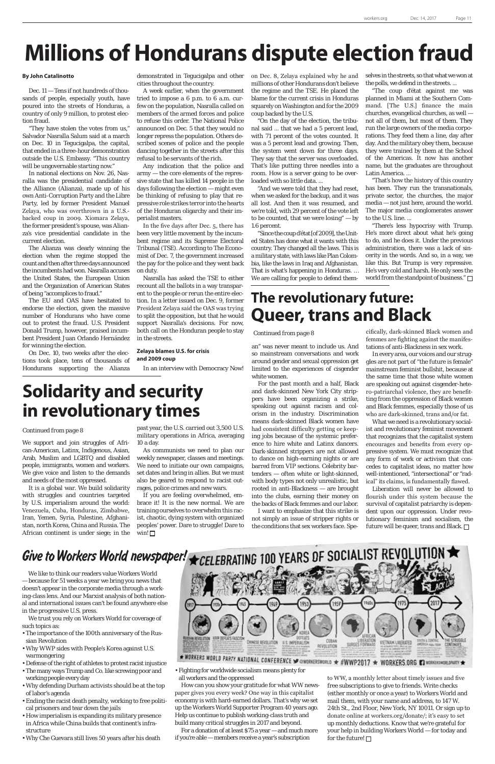We support and join struggles of African-American, Latinx, Indigenous, Asian, Arab, Muslim and LGBTQ and disabled people, immigrants, women and workers. We give voice and listen to the demands and needs of the most oppressed.

It is a global war. We build solidarity with struggles and countries targeted by U.S. imperialism around the world: Venezuela, Cuba, Honduras, Zimbabwe, Iran, Yemen, Syria, Palestine, Afghanistan, north Korea, China and Russia. The African continent is under siege; in the

an" was never meant to include us. And so mainstream conversations and work around gender and sexual oppression get limited to the experiences of cisgender white women.

For the past month and a half, Black and dark-skinned New York City strippers have been organizing a strike, speaking out against racism and colorism in the industry. Discrimination means dark-skinned Black women have had consistent difficulty getting or keeping jobs because of the systemic preference to hire white and Latinx dancers. Dark-skinned strippers are not allowed to dance on high-earning nights or are barred from VIP sections. Celebrity bartenders — often white or light-skinned, with body types not only unrealistic, but rooted in anti-Blackness — are brought into the clubs, earning their money on the backs of Black femmes and our labor.

I want to emphasize that this strike is not simply an issue of stripper rights or the conditions that sex workers face. Spe-

## **Millions of Hondurans dispute election fraud**

#### **By John Catalinotto**

Dec. 11 — Tens if not hundreds of thousands of people, especially youth, have poured into the streets of Honduras, a country of only 9 million, to protest election fraud.

"They have stolen the votes from us," Salvador Nasralla Salum said at a march on Dec. 10 in Tegucigalpa, the capital, that ended in a three-hour demonstration outside the U.S. Embassy. "This country will be ungovernable starting now."

In national elections on Nov. 26, Nasralla was the presidential candidate of the Alliance (Alianza), made up of his own Anti-Corruption Party and the Libre Party, led by former President Manuel Zelaya, who was overthrown in a U.S. backed coup in 2009. Xiomara Zelaya, the former president's spouse, was Alianza's vice presidential candidate in the current election.

The Alianza was clearly winning the election when the regime stopped the count and then after three days announced the incumbents had won. Nasralla accuses the United States, the European Union and the Organization of American States of being "accomplices to fraud."

The EU and OAS have hesitated to endorse the election, given the massive number of Hondurans who have come out to protest the fraud. U.S. President Donald Trump, however, praised incumbent President Juan Orlando Hernández for winning the election.

On Dec. 10, two weeks after the elections took place, tens of thousands of Hondurans supporting the Alianza

demonstrated in Tegucigalpa and other cities throughout the country.

> "There's less hypocrisy with Trump. He's more direct about what he's going to do, and he does it. Under the previous administration, there was a lack of sincerity in the words. And so, in a way, we like this. But Trump is very repressive. He's very cold and harsh. He only sees the world from the standpoint of business."  $\Box$

A week earlier, when the government tried to impose a 6 p.m. to 6 a.m. curfew on the population, Nasralla called on members of the armed forces and police to refuse this order. The National Police announced on Dec. 5 that they would no longer repress the population. Others described scenes of police and the people dancing together in the streets after this refusal to be servants of the rich.

> **Continued from page 8** cifically, dark-skinned Black women and femmes are fighting against the manifestations of anti-Blackness in sex work.

Any indication that the police and army — the core elements of the repressive state that has killed 14 people in the days following the election — might even be thinking of refusing to play that repressive role strikes terror into the hearts of the Honduran oligarchy and their imperialist masters.

> Liberation will never be allowed to flourish under this system because the survival of capitalist patriarchy is dependent upon our oppression. Under revolutionary feminism and socialism, the future will be queer, trans and Black.  $\square$

Give to Workers World newspaper!  $\bigstar$  CELEBRATING 100 YEARS OF SOCIALIST REVOLUTION  $\bigstar$ 

In the five days after Dec. 5, there has been very little movement by the incumbent regime and its Supreme Electoral Tribunal (TSE). According to The Economist of Dec. 7, the government increased the pay for the police and they went back on duty.

If you are feeling overwhelmed, embrace it! It is the new normal. We are training ourselves to overwhelm this racist, chaotic, dying system with organized peoples' power. Dare to struggle! Dare to win! $\Box$ 

Nasralla has asked the TSE to either recount all the ballots in a way transparent to the people or rerun the entire election. In a letter issued on Dec. 9, former President Zelaya said the OAS was trying to split the opposition, but that he would support Nasralla's decisions. For now, both call on the Honduran people to stay in the streets.

#### **Zelaya blames U.S. for crisis and 2009 coup**

In an interview with Democracy Now!

on Dec. 8, Zelaya explained why he and millions of other Hondurans don't believe the regime and the TSE. He placed the blame for the current crisis in Honduras squarely on Washington and for the 2009 coup backed by the U.S.

"On the day of the election, the tribunal said ... that we had a 5 percent lead, with 71 percent of the votes counted. It was a 5 percent lead and growing. Then, the system went down for three days. They say that the server was overloaded. That's like putting three needles into a room. How is a server going to be overloaded with so little data. ...

> to WW, a monthly letter about timely issues and five free subscriptions to give to friends. Write checks (either monthly or once a year) to Workers World and mail them, with your name and address, to 147 W. 24th St., 2nd Floor, New York, NY 10011. Or sign up to donate online at workers.org/donate/; it's easy to set up monthly deductions. Know that we're grateful for your help in building Workers World — for today and for the future!  $\square$

"And we were told that they had reset, when we asked for the backup, and it was all lost. And then it was resumed, and we're told, with 29 percent of the vote left to be counted, that we were losing" — by 1.6 percent.

"Since the coup d'état [of 2009], the United States has done what it wants with this country. They changed all the laws. This is a military state, with laws like Plan Colombia, like the laws in Iraq and Afghanistan. That is what's happening in Honduras. … We are calling for people to defend them-

selves in the streets, so that what we won at the polls, we defend in the streets. ...

"The coup d'état against me was planned in Miami at the Southern Command. [The U.S.] finance the main churches, evangelical churches, as well not all of them, but most of them. They run the large owners of the media corporations. They feed them a line, day after day. And the military obey them, because they were trained by them at the School of the Americas. It now has another name, but the graduates are throughout Latin America. ...

"That's how the history of this country has been. They run the transnationals, private sector, the churches, the major media — not just here, around the world. The major media conglomerates answer to the U.S. line. ...

#### *Continued from page 8*

In every area, our voices and our struggles are not part of "the future is female" mainstream feminist bullshit, because at the same time that those white women are speaking out against cisgender-hetero-patriarchal violence, they are benefitting from the oppression of Black women and Black femmes, especially those of us who are dark-skinned, trans and/or fat.

What we need is a revolutionary socialist and revolutionary feminist movement that recognizes that the capitalist system encourages and benefits from every oppressive system. We must recognize that any form of work or activism that concedes to capitalist ideas, no matter how well-intentioned, "intersectional" or "radical" its claims, is fundamentally flawed.

### **Solidarity and security in revolutionary times**

past year, the U.S. carried out 3,500 U.S. military operations in Africa, averaging 10 a day.

As communists we need to plan our weekly newspaper, classes and meetings. We need to initiate our own campaigns, set dates and bring in allies. But we must also be geared to respond to racist outrages, police crimes and new wars.

### **The revolutionary future: Queer, trans and Black**

We like to think our readers value Workers World — because for 51 weeks a year we bring you news that doesn't appear in the corporate media through a working-class lens. And our Marxist analysis of both national and international issues can't be found anywhere else in the progressive U.S. press.

We trust you rely on Workers World for coverage of such topics as:

- The importance of the 100th anniversary of the Russian Revolution
- Why WWP sides with People's Korea against U.S. warmongering
- Defense of the right of athletes to protest racist injustice
- The many ways Trump and Co. like screwing poor and working people every day
- Why defending Durham activists should be at the top of labor's agenda
- Ending the racist death penalty, working to free political prisoners and tear down the jails
- How imperialism is expanding its military presence in Africa while China builds that continent's infrastructure
- Why Che Guevara still lives 50 years after his death



• Fighting for worldwide socialism means plenty for all workers and the oppressed

How can you show your gratitude for what WW newspaper gives you every week? One way in this capitalist economy is with hard-earned dollars. That's why we set up the Workers World Supporter Program 40 years ago. Help us continue to publish working-class truth and build many critical struggles in 2017 and beyond.

For a donation of at least \$75 a year — and much more if you're able — members receive a year's subscription